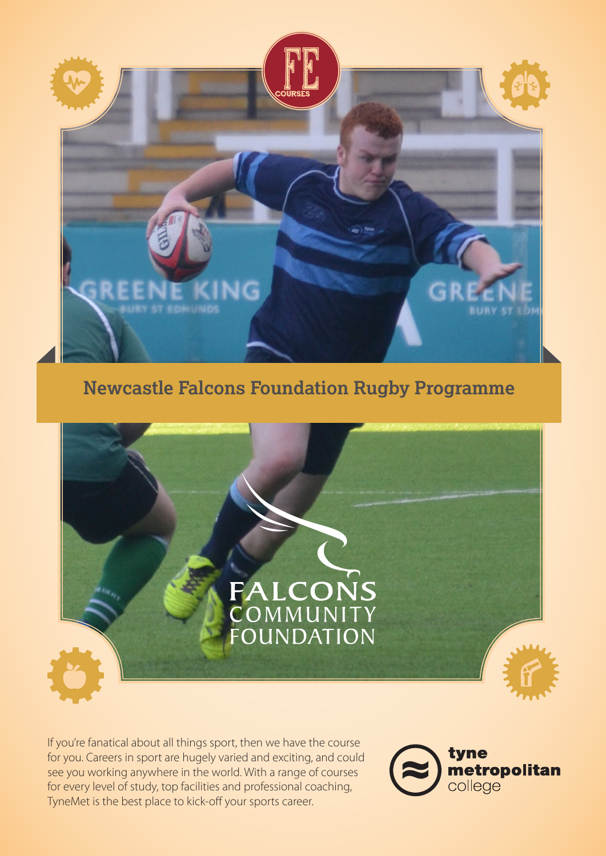

# **Newcastle Falcons Foundation Rugby Programme**



If you're fanatical about all things sport, then we have the course for you. Careers in sport are hugely varied and exciting, and could see you working anywhere in the world. With a range of courses for every level of study, top facilities and professional coaching, TyneMet is the best place to kick-off your sports career.